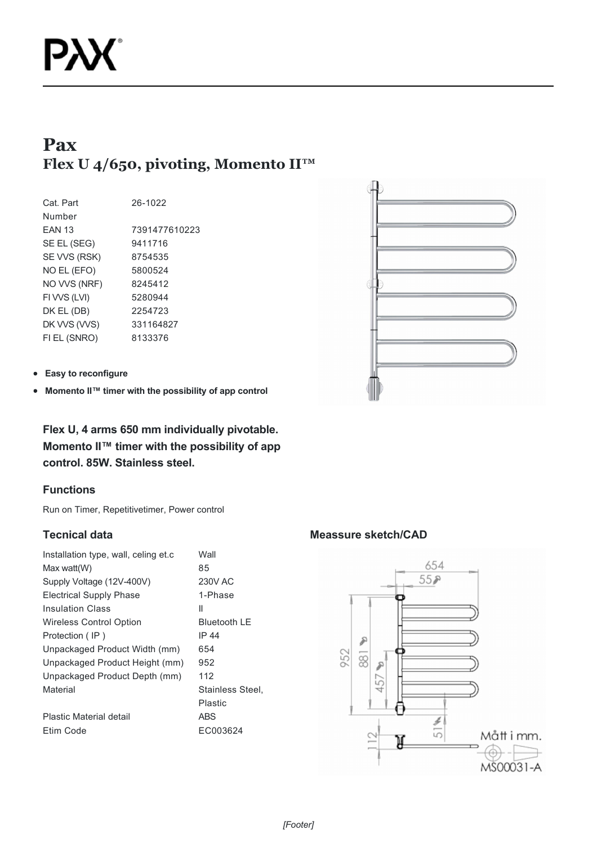# **Pax Flex U 4/650, pivoting, Momento II™**

| Cat. Part     | 26-1022       |
|---------------|---------------|
| Number        |               |
| <b>FAN 13</b> | 7391477610223 |
| SE EL (SEG)   | 9411716       |
| SE VVS (RSK)  | 8754535       |
| NO EL (EFO)   | 5800524       |
| NO VVS (NRF)  | 8245412       |
| FI VVS (LVI)  | 5280944       |
| DK EL (DB)    | 2254723       |
| DK VVS (VVS)  | 331164827     |
| FI EL (SNRO)  | 8133376       |
|               |               |



**Easy to reconfigure**  $\bullet$ 

**Momento II™ timer with the possibility of app control**  $\bullet$ 

**Flex U, 4 arms 650 mm individually pivotable. Momento II™ timer with the possibility of app control. 85W. Stainless steel.**

## **Functions**

Run on Timer, Repetitivetimer, Power control

## **Tecnical data**

| Installation type, wall, celing et.c. | Wall                |
|---------------------------------------|---------------------|
| Max watt(W)                           | 85                  |
| Supply Voltage (12V-400V)             | <b>230V AC</b>      |
| <b>Electrical Supply Phase</b>        | 1-Phase             |
| <b>Insulation Class</b>               | Ш                   |
| <b>Wireless Control Option</b>        | <b>Bluetooth LE</b> |
| Protection (IP)                       | IP 44               |
| Unpackaged Product Width (mm)         | 654                 |
| Unpackaged Product Height (mm)        | 952                 |
| Unpackaged Product Depth (mm)         | 112                 |
| Material                              | Stainless Steel.    |
|                                       | Plastic             |
| Plastic Material detail               | ABS                 |
| Etim Code                             | EC003624            |
|                                       |                     |

## **Meassure sketch/CAD**

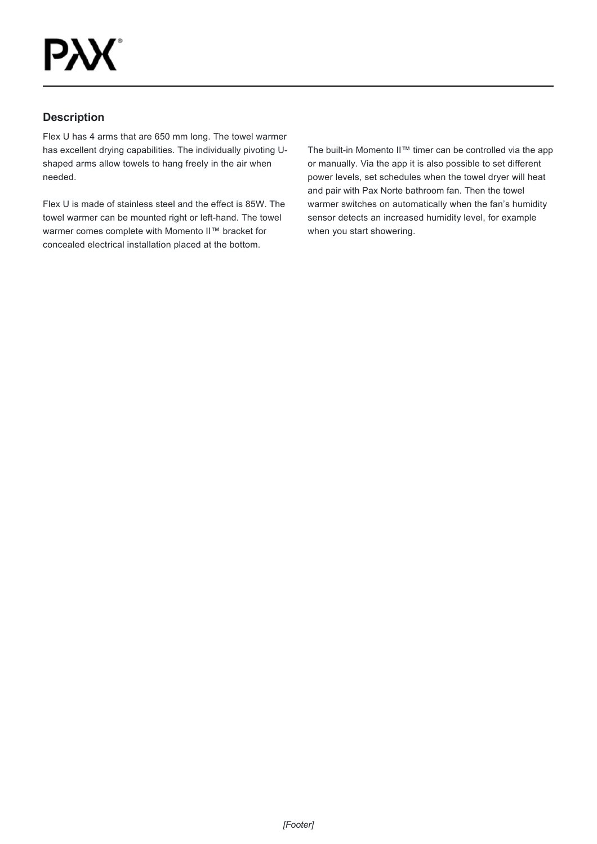## **Description**

Flex U has 4 arms that are 650 mm long. The towel warmer has excellent drying capabilities. The individually pivoting Ushaped arms allow towels to hang freely in the air when needed.

Flex U is made of stainless steel and the effect is 85W. The towel warmer can be mounted right or left-hand. The towel warmer comes complete with Momento II™ bracket for concealed electrical installation placed at the bottom.

The built-in Momento II™ timer can be controlled via the app or manually. Via the app it is also possible to set different power levels, set schedules when the towel dryer will heat and pair with Pax Norte bathroom fan. Then the towel warmer switches on automatically when the fan's humidity sensor detects an increased humidity level, for example when you start showering.